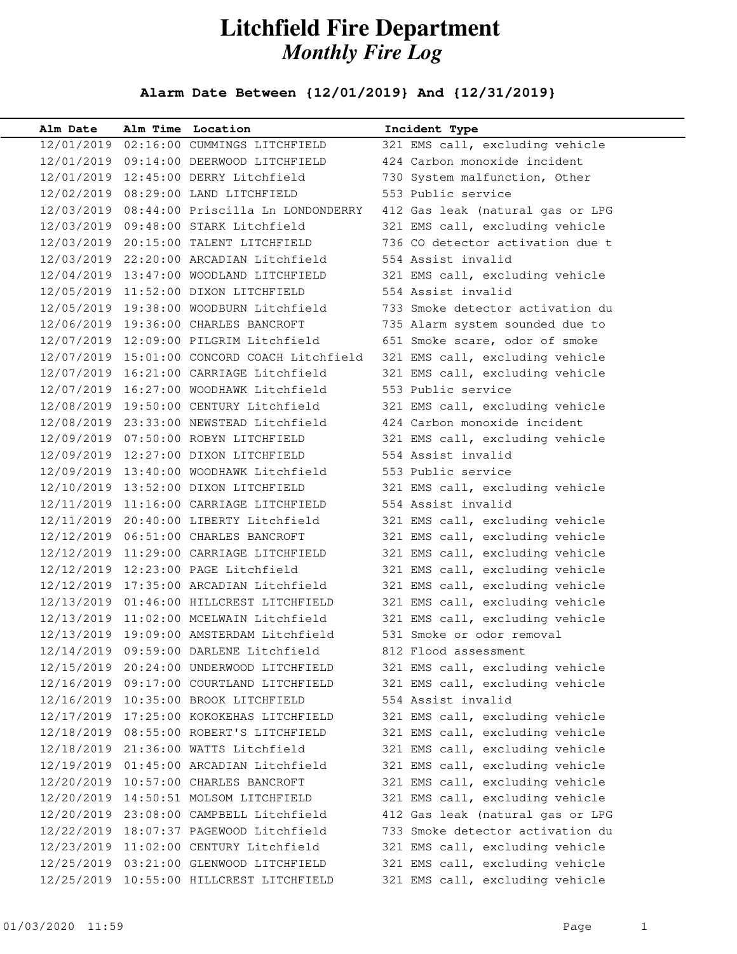## **Litchfield Fire Department** *Monthly Fire Log*

## **Alarm Date Between {12/01/2019} And {12/31/2019}**

| Alm Date   | Alm Time Location                            | Incident Type                    |
|------------|----------------------------------------------|----------------------------------|
|            | 12/01/2019  02:16:00  CUMMINGS  LITCHFIELD   | 321 EMS call, excluding vehicle  |
|            | 12/01/2019  09:14:00 DEERWOOD LITCHFIELD     | 424 Carbon monoxide incident     |
|            | 12/01/2019 12:45:00 DERRY Litchfield         | 730 System malfunction, Other    |
|            | 12/02/2019 08:29:00 LAND LITCHFIELD          | 553 Public service               |
|            | 12/03/2019 08:44:00 Priscilla Ln LONDONDERRY | 412 Gas leak (natural gas or LPG |
|            | 12/03/2019 09:48:00 STARK Litchfield         | 321 EMS call, excluding vehicle  |
|            | 12/03/2019 20:15:00 TALENT LITCHFIELD        | 736 CO detector activation due t |
|            | 12/03/2019 22:20:00 ARCADIAN Litchfield      | 554 Assist invalid               |
|            | 12/04/2019 13:47:00 WOODLAND LITCHFIELD      | 321 EMS call, excluding vehicle  |
|            | 12/05/2019 11:52:00 DIXON LITCHFIELD         | 554 Assist invalid               |
|            | 12/05/2019 19:38:00 WOODBURN Litchfield      | 733 Smoke detector activation du |
|            | 12/06/2019 19:36:00 CHARLES BANCROFT         | 735 Alarm system sounded due to  |
|            | 12/07/2019 12:09:00 PILGRIM Litchfield       | 651 Smoke scare, odor of smoke   |
|            | 12/07/2019 15:01:00 CONCORD COACH Litchfield | 321 EMS call, excluding vehicle  |
|            | 12/07/2019 16:21:00 CARRIAGE Litchfield      | 321 EMS call, excluding vehicle  |
|            | 12/07/2019 16:27:00 WOODHAWK Litchfield      | 553 Public service               |
|            | 12/08/2019 19:50:00 CENTURY Litchfield       | 321 EMS call, excluding vehicle  |
|            | 12/08/2019 23:33:00 NEWSTEAD Litchfield      | 424 Carbon monoxide incident     |
|            | 12/09/2019 07:50:00 ROBYN LITCHFIELD         | 321 EMS call, excluding vehicle  |
|            | 12/09/2019 12:27:00 DIXON LITCHFIELD         | 554 Assist invalid               |
|            | 12/09/2019 13:40:00 WOODHAWK Litchfield      | 553 Public service               |
|            | 12/10/2019 13:52:00 DIXON LITCHFIELD         | 321 EMS call, excluding vehicle  |
|            | 12/11/2019 11:16:00 CARRIAGE LITCHFIELD      | 554 Assist invalid               |
|            | 12/11/2019 20:40:00 LIBERTY Litchfield       | 321 EMS call, excluding vehicle  |
|            | 12/12/2019  06:51:00 CHARLES BANCROFT        | 321 EMS call, excluding vehicle  |
|            | 12/12/2019 11:29:00 CARRIAGE LITCHFIELD      | 321 EMS call, excluding vehicle  |
|            | 12/12/2019 12:23:00 PAGE Litchfield          | 321 EMS call, excluding vehicle  |
|            | 12/12/2019 17:35:00 ARCADIAN Litchfield      | 321 EMS call, excluding vehicle  |
|            | 12/13/2019 01:46:00 HILLCREST LITCHFIELD     | 321 EMS call, excluding vehicle  |
|            | 12/13/2019 11:02:00 MCELWAIN Litchfield      | 321 EMS call, excluding vehicle  |
|            | 12/13/2019 19:09:00 AMSTERDAM Litchfield     | 531 Smoke or odor removal        |
|            | 12/14/2019 09:59:00 DARLENE Litchfield       | 812 Flood assessment             |
| 12/15/2019 | 20:24:00 UNDERWOOD LITCHFIELD                | 321 EMS call, excluding vehicle  |
|            | 12/16/2019 09:17:00 COURTLAND LITCHFIELD     | 321 EMS call, excluding vehicle  |
|            | 12/16/2019 10:35:00 BROOK LITCHFIELD         | 554 Assist invalid               |
|            | 12/17/2019 17:25:00 KOKOKEHAS LITCHFIELD     | 321 EMS call, excluding vehicle  |
|            | 12/18/2019 08:55:00 ROBERT'S LITCHFIELD      | 321 EMS call, excluding vehicle  |
| 12/18/2019 | 21:36:00 WATTS Litchfield                    | 321 EMS call, excluding vehicle  |
| 12/19/2019 | 01:45:00 ARCADIAN Litchfield                 | 321 EMS call, excluding vehicle  |
| 12/20/2019 | 10:57:00 CHARLES BANCROFT                    | 321 EMS call, excluding vehicle  |
| 12/20/2019 | 14:50:51 MOLSOM LITCHFIELD                   | 321 EMS call, excluding vehicle  |
|            | 12/20/2019 23:08:00 CAMPBELL Litchfield      | 412 Gas leak (natural gas or LPG |
| 12/22/2019 | 18:07:37 PAGEWOOD Litchfield                 | 733 Smoke detector activation du |
| 12/23/2019 | 11:02:00 CENTURY Litchfield                  | 321 EMS call, excluding vehicle  |
|            | 12/25/2019 03:21:00 GLENWOOD LITCHFIELD      | 321 EMS call, excluding vehicle  |
| 12/25/2019 | 10:55:00 HILLCREST LITCHFIELD                | 321 EMS call, excluding vehicle  |